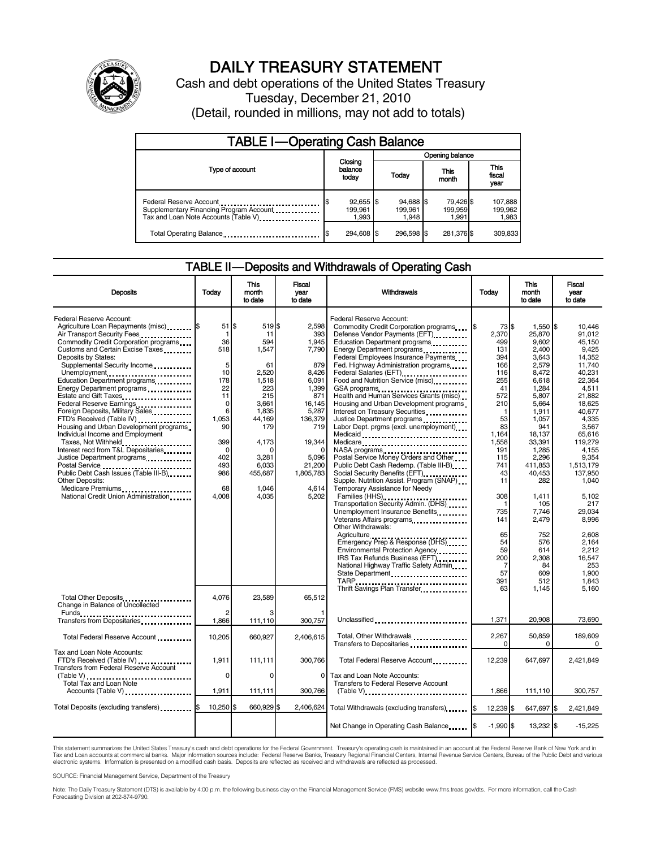

# DAILY TREASURY STATEMENT

Cash and debt operations of the United States Treasury Tuesday, December 21, 2010 (Detail, rounded in millions, may not add to totals)

| <b>TABLE I-Operating Cash Balance</b>                                                                      |                                       |                               |                               |                             |  |  |
|------------------------------------------------------------------------------------------------------------|---------------------------------------|-------------------------------|-------------------------------|-----------------------------|--|--|
|                                                                                                            | Opening balance                       |                               |                               |                             |  |  |
| Type of account                                                                                            | Closing<br>balance<br>today           | Today                         | This<br>month                 | This<br>fiscal<br>year      |  |  |
| Federal Reserve Account<br>Supplementary Financing Program Account<br>Tax and Loan Note Accounts (Table V) | \$<br>$92,655$ \$<br>199.961<br>1,993 | 94,688 \$<br>199.961<br>1.948 | 79,426 \$<br>199,959<br>1,991 | 107,888<br>199,962<br>1,983 |  |  |
| Total Operating Balance                                                                                    | 294,608 \$                            | 296.598 \$                    | 281,376 \$                    | 309,833                     |  |  |

#### TABLE II — Deposits and Withdrawals of Operating Cash

| <b>Deposits</b>                                                                                                                                                                                                                                                                                                                                                                                                                                                                                                                                                                                                                                                                                                                                                         | Todav                                                                                                                                         | <b>This</b><br>month<br>to date                                                                                                                                           | <b>Fiscal</b><br>year<br>to date                                                                                                                                         | Withdrawals                                                                                                                                                                                                                                                                                                                                                                                                                                                                                                                                                                                                                                                                                                                                                                                                                                                                                                                                                                                                                                                                                                                                                                     | Today                                                                                                                                                                                                                 | <b>This</b><br>month<br>to date                                                                                                                                                                                                                                                    | Fiscal<br>vear<br>to date                                                                                                                                                                                                                                                                                     |
|-------------------------------------------------------------------------------------------------------------------------------------------------------------------------------------------------------------------------------------------------------------------------------------------------------------------------------------------------------------------------------------------------------------------------------------------------------------------------------------------------------------------------------------------------------------------------------------------------------------------------------------------------------------------------------------------------------------------------------------------------------------------------|-----------------------------------------------------------------------------------------------------------------------------------------------|---------------------------------------------------------------------------------------------------------------------------------------------------------------------------|--------------------------------------------------------------------------------------------------------------------------------------------------------------------------|---------------------------------------------------------------------------------------------------------------------------------------------------------------------------------------------------------------------------------------------------------------------------------------------------------------------------------------------------------------------------------------------------------------------------------------------------------------------------------------------------------------------------------------------------------------------------------------------------------------------------------------------------------------------------------------------------------------------------------------------------------------------------------------------------------------------------------------------------------------------------------------------------------------------------------------------------------------------------------------------------------------------------------------------------------------------------------------------------------------------------------------------------------------------------------|-----------------------------------------------------------------------------------------------------------------------------------------------------------------------------------------------------------------------|------------------------------------------------------------------------------------------------------------------------------------------------------------------------------------------------------------------------------------------------------------------------------------|---------------------------------------------------------------------------------------------------------------------------------------------------------------------------------------------------------------------------------------------------------------------------------------------------------------|
| Federal Reserve Account:<br>Agriculture Loan Repayments (misc) [\$<br>Air Transport Security Fees<br>Commodity Credit Corporation programs<br>Customs and Certain Excise Taxes<br>Deposits by States:<br>Supplemental Security Income<br>Unemployment<br>Education Department programs<br>Energy Department programs<br>Estate and Gift Taxes<br>Federal Reserve Earnings<br>Foreign Deposits, Military Sales<br>FTD's Received (Table IV)<br>Housing and Urban Development programs<br>Individual Income and Employment<br>Taxes, Not Withheld<br>Interest recd from T&L Depositaries<br>Justice Department programs<br>Postal Service<br>Public Debt Cash Issues (Table III-B)<br><b>Other Deposits:</b><br>Medicare Premiums<br>National Credit Union Administration | 51<br>-1<br>36<br>518<br>5<br>10<br>178<br>22<br>11<br>$\mathbf 0$<br>6<br>1,053<br>90<br>399<br>$\Omega$<br>402<br>493<br>986<br>68<br>4,008 | l\$<br>519 \$<br>11<br>594<br>1,547<br>61<br>2,520<br>1.518<br>223<br>215<br>3,661<br>1,835<br>44,169<br>179<br>4,173<br>C<br>3,281<br>6,033<br>455,687<br>1,046<br>4,035 | 2.598<br>393<br>1,945<br>7.790<br>879<br>8,426<br>6.091<br>1,399<br>871<br>16,145<br>5,287<br>136,379<br>719<br>19,344<br>5,096<br>21,200<br>1,805,783<br>4,614<br>5,202 | Federal Reserve Account:<br>Commodity Credit Corporation programs [\$<br>Defense Vendor Payments (EFT)<br>Education Department programs<br>Energy Department programs<br>Federal Employees Insurance Payments<br>Fed. Highway Administration programs<br>Federal Salaries (EFT)<br>Federal Salaries (EFT)<br>Food and Nutrition Service (misc) [100]<br>GSA programs<br>Health and Human Services Grants (misc)<br>Housing and Urban Development programs<br>Interest on Treasury Securities<br>Justice Department programs<br>Labor Dept. prgms (excl. unemployment)<br>Medicaid<br>Medicare<br>NASA programs<br>Postal Service Money Orders and Other<br>Public Debt Cash Redemp. (Table III-B)<br>Social Security Benefits (EFT)<br>Supple. Nutrition Assist. Program (SNAP)<br>Temporary Assistance for Needy<br>Transportation Security Admin. (DHS)<br>Unemployment Insurance Benefits<br>Veterans Affairs programs<br><br>Other Withdrawals:<br>Agriculture<br>Emergency Prep & Response (DHS)<br>Environmental Protection Agency<br>IRS Tax Refunds Business (EFT)<br>National Highway Traffic Safety Admin<br>State Department<br>TARP<br>Thrift Savings Plan Transfer | 73 \$<br>2,370<br>499<br>131<br>394<br>166<br>116<br>255<br>41<br>572<br>210<br>1<br>53<br>83<br>1.164<br>1,558<br>191<br>115<br>741<br>43<br>11<br>308<br>1<br>735<br>141<br>65<br>54<br>59<br>200<br>7<br>57<br>391 | 1,550 \$<br>25,870<br>9.602<br>2.400<br>3.643<br>2,579<br>8.472<br>6.618<br>1,284<br>5,807<br>5.664<br>1,911<br>1,057<br>941<br>18.137<br>33,391<br>1,285<br>2,296<br>411,853<br>40,453<br>282<br>1,411<br>105<br>7,746<br>2,479<br>752<br>576<br>614<br>2.308<br>84<br>609<br>512 | 10.446<br>91.012<br>45.150<br>9.425<br>14.352<br>11.740<br>40.231<br>22.364<br>4,511<br>21,882<br>18.625<br>40,677<br>4,335<br>3,567<br>65.616<br>119,279<br>4,155<br>9.354<br>1,513,179<br>137,950<br>1.040<br>5,102<br>217<br>29,034<br>8,996<br>2.608<br>2,164<br>2,212<br>16.547<br>253<br>1.900<br>1.843 |
| Total Other Deposits<br>Change in Balance of Uncollected                                                                                                                                                                                                                                                                                                                                                                                                                                                                                                                                                                                                                                                                                                                | 4,076<br>2                                                                                                                                    | 23,589                                                                                                                                                                    | 65,512                                                                                                                                                                   |                                                                                                                                                                                                                                                                                                                                                                                                                                                                                                                                                                                                                                                                                                                                                                                                                                                                                                                                                                                                                                                                                                                                                                                 | 63                                                                                                                                                                                                                    | 1,145                                                                                                                                                                                                                                                                              | 5,160                                                                                                                                                                                                                                                                                                         |
| Transfers from Depositaries                                                                                                                                                                                                                                                                                                                                                                                                                                                                                                                                                                                                                                                                                                                                             | 1,866                                                                                                                                         | 111,110                                                                                                                                                                   | 300,757                                                                                                                                                                  | Unclassified                                                                                                                                                                                                                                                                                                                                                                                                                                                                                                                                                                                                                                                                                                                                                                                                                                                                                                                                                                                                                                                                                                                                                                    | 1.371                                                                                                                                                                                                                 | 20,908                                                                                                                                                                                                                                                                             | 73,690                                                                                                                                                                                                                                                                                                        |
| Total Federal Reserve Account                                                                                                                                                                                                                                                                                                                                                                                                                                                                                                                                                                                                                                                                                                                                           | 10,205                                                                                                                                        | 660,927                                                                                                                                                                   | 2.406.615                                                                                                                                                                | Total, Other Withdrawals<br>Transfers to Depositaries                                                                                                                                                                                                                                                                                                                                                                                                                                                                                                                                                                                                                                                                                                                                                                                                                                                                                                                                                                                                                                                                                                                           | 2,267<br>$\Omega$                                                                                                                                                                                                     | 50,859<br>0                                                                                                                                                                                                                                                                        | 189,609<br>0                                                                                                                                                                                                                                                                                                  |
| Tax and Loan Note Accounts:<br>FTD's Received (Table IV)<br>Transfers from Federal Reserve Account                                                                                                                                                                                                                                                                                                                                                                                                                                                                                                                                                                                                                                                                      | 1,911<br>0                                                                                                                                    | 111,111<br>$\Omega$                                                                                                                                                       | 300,766<br>0                                                                                                                                                             | Total Federal Reserve Account<br>Tax and Loan Note Accounts:                                                                                                                                                                                                                                                                                                                                                                                                                                                                                                                                                                                                                                                                                                                                                                                                                                                                                                                                                                                                                                                                                                                    | 12,239                                                                                                                                                                                                                | 647,697                                                                                                                                                                                                                                                                            | 2,421,849                                                                                                                                                                                                                                                                                                     |
| Total Tax and Loan Note<br>Accounts (Table V)                                                                                                                                                                                                                                                                                                                                                                                                                                                                                                                                                                                                                                                                                                                           | 1,911                                                                                                                                         | 111,111                                                                                                                                                                   | 300,766                                                                                                                                                                  | Transfers to Federal Reserve Account<br>$(Table V)$ ,                                                                                                                                                                                                                                                                                                                                                                                                                                                                                                                                                                                                                                                                                                                                                                                                                                                                                                                                                                                                                                                                                                                           | 1.866                                                                                                                                                                                                                 | 111,110                                                                                                                                                                                                                                                                            | 300,757                                                                                                                                                                                                                                                                                                       |
| Total Deposits (excluding transfers) [1001]                                                                                                                                                                                                                                                                                                                                                                                                                                                                                                                                                                                                                                                                                                                             | 10,250                                                                                                                                        | 660,929 \$<br>\$.                                                                                                                                                         | 2,406,624                                                                                                                                                                | Total Withdrawals (excluding transfers) <b>S</b>                                                                                                                                                                                                                                                                                                                                                                                                                                                                                                                                                                                                                                                                                                                                                                                                                                                                                                                                                                                                                                                                                                                                |                                                                                                                                                                                                                       |                                                                                                                                                                                                                                                                                    |                                                                                                                                                                                                                                                                                                               |
|                                                                                                                                                                                                                                                                                                                                                                                                                                                                                                                                                                                                                                                                                                                                                                         |                                                                                                                                               |                                                                                                                                                                           |                                                                                                                                                                          |                                                                                                                                                                                                                                                                                                                                                                                                                                                                                                                                                                                                                                                                                                                                                                                                                                                                                                                                                                                                                                                                                                                                                                                 | 12,239 \$                                                                                                                                                                                                             | 647,697 \$                                                                                                                                                                                                                                                                         | 2,421,849                                                                                                                                                                                                                                                                                                     |
|                                                                                                                                                                                                                                                                                                                                                                                                                                                                                                                                                                                                                                                                                                                                                                         |                                                                                                                                               |                                                                                                                                                                           |                                                                                                                                                                          | Net Change in Operating Cash Balance                                                                                                                                                                                                                                                                                                                                                                                                                                                                                                                                                                                                                                                                                                                                                                                                                                                                                                                                                                                                                                                                                                                                            | $-1.990$ \$                                                                                                                                                                                                           | 13,232 \$                                                                                                                                                                                                                                                                          | $-15,225$                                                                                                                                                                                                                                                                                                     |

This statement summarizes the United States Treasury's cash and debt operations for the Federal Government. Treasury's operating cash is maintained in an account at the Federal Reserve Bank of New York and in<br>Tax and Loan electronic systems. Information is presented on a modified cash basis. Deposits are reflected as received and withdrawals are reflected as processed.

SOURCE: Financial Management Service, Department of the Treasury

Note: The Daily Treasury Statement (DTS) is available by 4:00 p.m. the following business day on the Financial Management Service (FMS) website www.fms.treas.gov/dts. For more information, call the Cash Forecasting Division at 202-874-9790.